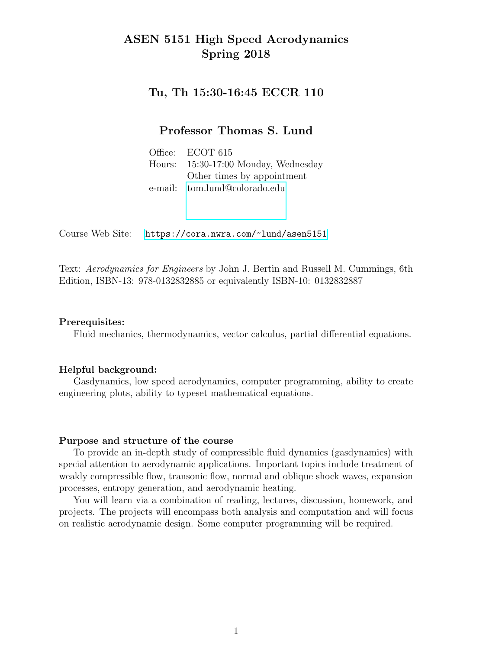### ASEN 5151 High Speed Aerodynamics Spring 2018

#### Tu, Th 15:30-16:45 ECCR 110

#### Professor Thomas S. Lund

Office: ECOT 615 Hours: 15:30-17:00 Monday, Wednesday Other times by appointment e-mail: [tom.lund@colorado.edu](mailto:tom.lund@colorado.edu)

Course Web Site: <https://cora.nwra.com/~lund/asen5151>

Text: Aerodynamics for Engineers by John J. Bertin and Russell M. Cummings, 6th Edition, ISBN-13: 978-0132832885 or equivalently ISBN-10: 0132832887

#### Prerequisites:

Fluid mechanics, thermodynamics, vector calculus, partial differential equations.

#### Helpful background:

Gasdynamics, low speed aerodynamics, computer programming, ability to create engineering plots, ability to typeset mathematical equations.

#### Purpose and structure of the course

To provide an in-depth study of compressible fluid dynamics (gasdynamics) with special attention to aerodynamic applications. Important topics include treatment of weakly compressible flow, transonic flow, normal and oblique shock waves, expansion processes, entropy generation, and aerodynamic heating.

You will learn via a combination of reading, lectures, discussion, homework, and projects. The projects will encompass both analysis and computation and will focus on realistic aerodynamic design. Some computer programming will be required.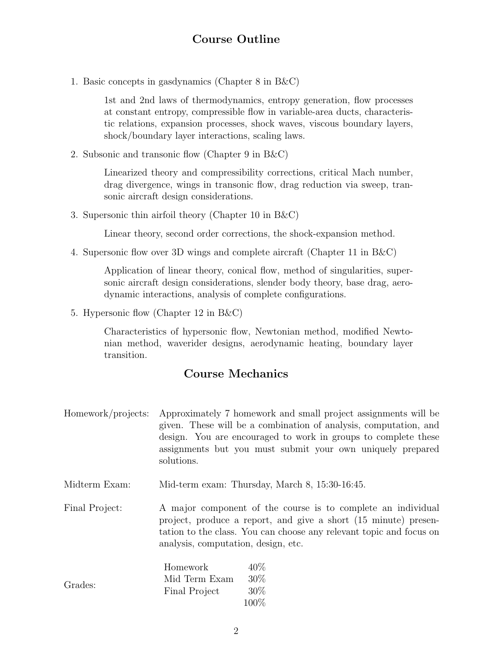### Course Outline

1. Basic concepts in gasdynamics (Chapter 8 in B&C)

1st and 2nd laws of thermodynamics, entropy generation, flow processes at constant entropy, compressible flow in variable-area ducts, characteristic relations, expansion processes, shock waves, viscous boundary layers, shock/boundary layer interactions, scaling laws.

2. Subsonic and transonic flow (Chapter 9 in B&C)

Linearized theory and compressibility corrections, critical Mach number, drag divergence, wings in transonic flow, drag reduction via sweep, transonic aircraft design considerations.

3. Supersonic thin airfoil theory (Chapter 10 in B&C)

Linear theory, second order corrections, the shock-expansion method.

4. Supersonic flow over 3D wings and complete aircraft (Chapter 11 in B&C)

Application of linear theory, conical flow, method of singularities, supersonic aircraft design considerations, slender body theory, base drag, aerodynamic interactions, analysis of complete configurations.

5. Hypersonic flow (Chapter 12 in B&C)

Characteristics of hypersonic flow, Newtonian method, modified Newtonian method, waverider designs, aerodynamic heating, boundary layer transition.

### Course Mechanics

- Homework/projects: Approximately 7 homework and small project assignments will be given. These will be a combination of analysis, computation, and design. You are encouraged to work in groups to complete these assignments but you must submit your own uniquely prepared solutions.
- Midterm Exam: Mid-term exam: Thursday, March 8, 15:30-16:45.

Final Project: A major component of the course is to complete an individual project, produce a report, and give a short (15 minute) presentation to the class. You can choose any relevant topic and focus on analysis, computation, design, etc.

| Grades: | Homework      | $40\%$  |
|---------|---------------|---------|
|         | Mid Term Exam | 30\%    |
|         | Final Project | $30\%$  |
|         |               | $100\%$ |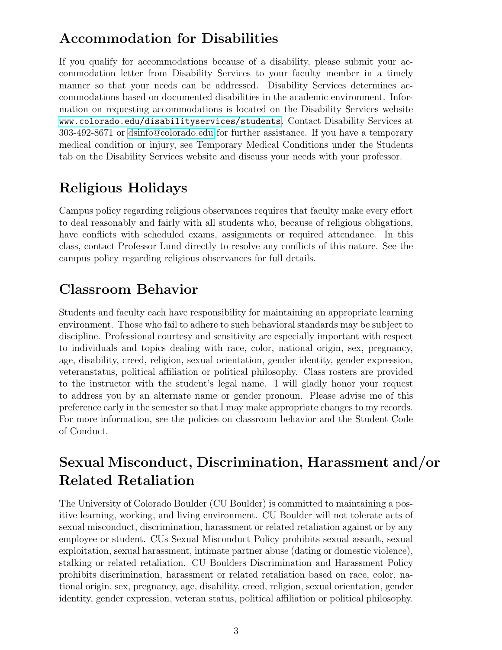# Accommodation for Disabilities

If you qualify for accommodations because of a disability, please submit your accommodation letter from Disability Services to your faculty member in a timely manner so that your needs can be addressed. Disability Services determines accommodations based on documented disabilities in the academic environment. Information on requesting accommodations is located on the Disability Services website <www.colorado.edu/disabilityservices/students>. Contact Disability Services at 303-492-8671 or [dsinfo@colorado.edu](mailto:dsinfo@colorado.edu) for further assistance. If you have a temporary medical condition or injury, see Temporary Medical Conditions under the Students tab on the Disability Services website and discuss your needs with your professor.

# Religious Holidays

Campus policy regarding religious observances requires that faculty make every effort to deal reasonably and fairly with all students who, because of religious obligations, have conflicts with scheduled exams, assignments or required attendance. In this class, contact Professor Lund directly to resolve any conflicts of this nature. See the campus policy regarding religious observances for full details.

## Classroom Behavior

Students and faculty each have responsibility for maintaining an appropriate learning environment. Those who fail to adhere to such behavioral standards may be subject to discipline. Professional courtesy and sensitivity are especially important with respect to individuals and topics dealing with race, color, national origin, sex, pregnancy, age, disability, creed, religion, sexual orientation, gender identity, gender expression, veteranstatus, political affiliation or political philosophy. Class rosters are provided to the instructor with the student's legal name. I will gladly honor your request to address you by an alternate name or gender pronoun. Please advise me of this preference early in the semester so that I may make appropriate changes to my records. For more information, see the policies on classroom behavior and the Student Code of Conduct.

# Sexual Misconduct, Discrimination, Harassment and/or Related Retaliation

The University of Colorado Boulder (CU Boulder) is committed to maintaining a positive learning, working, and living environment. CU Boulder will not tolerate acts of sexual misconduct, discrimination, harassment or related retaliation against or by any employee or student. CUs Sexual Misconduct Policy prohibits sexual assault, sexual exploitation, sexual harassment, intimate partner abuse (dating or domestic violence), stalking or related retaliation. CU Boulders Discrimination and Harassment Policy prohibits discrimination, harassment or related retaliation based on race, color, national origin, sex, pregnancy, age, disability, creed, religion, sexual orientation, gender identity, gender expression, veteran status, political affiliation or political philosophy.